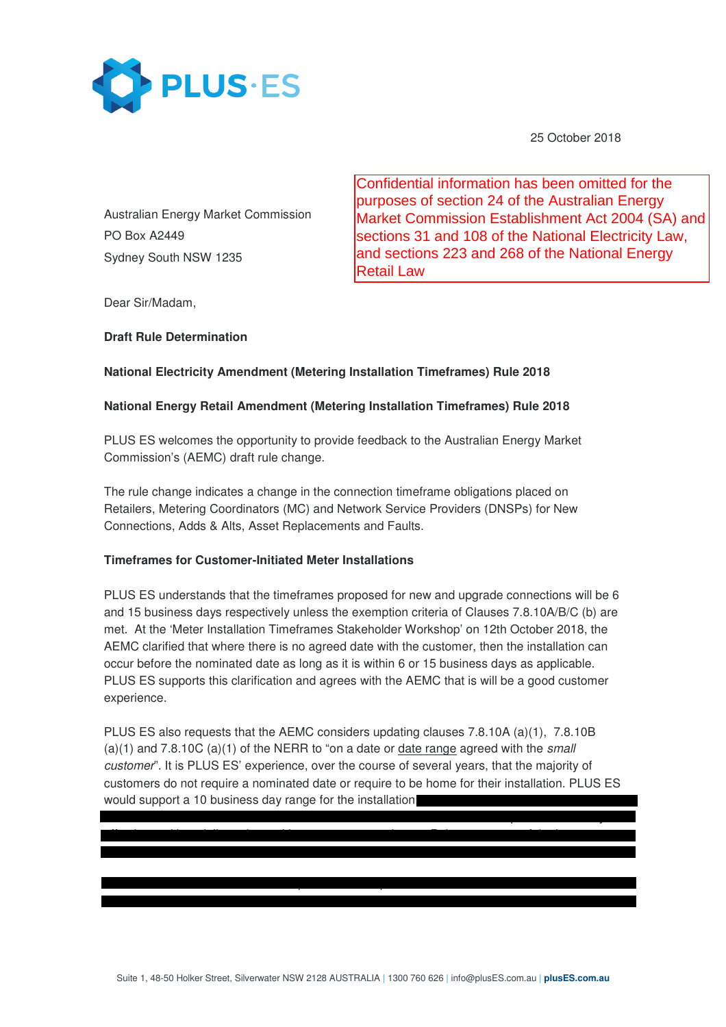

25 October 2018

Australian Energy Market Commission PO Box A2449 Sydney South NSW 1235

Confidential information has been omitted for the purposes of section 24 of the Australian Energy Market Commission Establishment Act 2004 (SA) and sections 31 and 108 of the National Electricity Law, and sections 223 and 268 of the National Energy Retail Law

Dear Sir/Madam,

## **Draft Rule Determination**

# **National Electricity Amendment (Metering Installation Timeframes) Rule 2018**

## **National Energy Retail Amendment (Metering Installation Timeframes) Rule 2018**

PLUS ES welcomes the opportunity to provide feedback to the Australian Energy Market Commission's (AEMC) draft rule change.

The rule change indicates a change in the connection timeframe obligations placed on Retailers, Metering Coordinators (MC) and Network Service Providers (DNSPs) for New Connections, Adds & Alts, Asset Replacements and Faults.

### **Timeframes for Customer-Initiated Meter Installations**

outcomes we have experienced using this process:

 $\mathbf{r} = \mathbf{r} \cdot \mathbf{r} + \mathbf{r} \cdot \mathbf{r} + \mathbf{r} \cdot \mathbf{r} + \mathbf{r} \cdot \mathbf{r} + \mathbf{r} \cdot \mathbf{r} + \mathbf{r} \cdot \mathbf{r} + \mathbf{r} \cdot \mathbf{r} + \mathbf{r} \cdot \mathbf{r} + \mathbf{r} \cdot \mathbf{r} + \mathbf{r} \cdot \mathbf{r} + \mathbf{r} \cdot \mathbf{r} + \mathbf{r} \cdot \mathbf{r} + \mathbf{r} \cdot \mathbf{r} + \mathbf{r} \cdot \mathbf{r} + \mathbf$  $\sim$  An increase in field production from 3 jobs per day to  $6$  jobs per day to  $6$  jobs per day to  $6$ 

PLUS ES understands that the timeframes proposed for new and upgrade connections will be 6 and 15 business days respectively unless the exemption criteria of Clauses 7.8.10A/B/C (b) are met. At the 'Meter Installation Timeframes Stakeholder Workshop' on 12th October 2018, the AEMC clarified that where there is no agreed date with the customer, then the installation can occur before the nominated date as long as it is within 6 or 15 business days as applicable. PLUS ES supports this clarification and agrees with the AEMC that is will be a good customer experience.

PLUS ES also requests that the AEMC considers updating clauses 7.8.10A (a)(1), 7.8.10B  $(a)(1)$  and 7.8.10C  $(a)(1)$  of the NERR to "on a date or date range agreed with the small customer". It is PLUS ES' experience, over the course of several years, that the majority of customers do not require a nominated date or require to be home for their installation. PLUS ES would support a 10 business day range for the installation.

for one of the retailers under the 'no action' waiver from the AER. This has proven to be very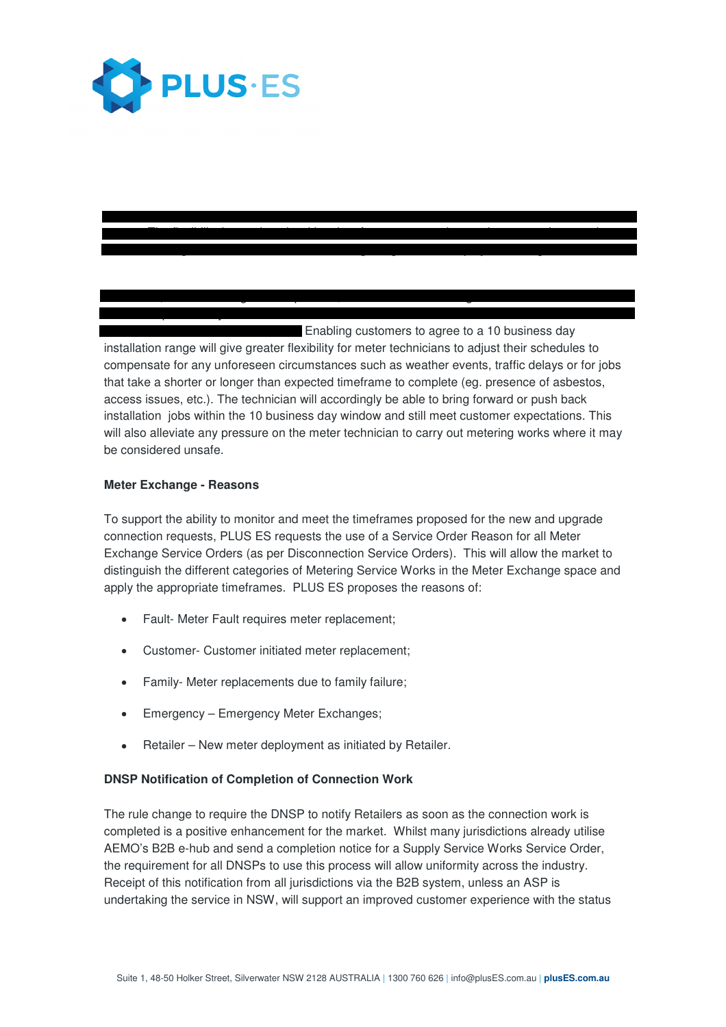

 $\blacksquare$  Enabling customers to agree to a 10 business day installation range will give greater flexibility for meter technicians to adjust their schedules to compensate for any unforeseen circumstances such as weather events, traffic delays or for jobs that take a shorter or longer than expected timeframe to complete (eg. presence of asbestos, access issues, etc.). The technician will accordingly be able to bring forward or push back installation jobs within the 10 business day window and still meet customer expectations. This will also alleviate any pressure on the meter technician to carry out metering works where it may be considered unsafe.

 $\mathcal{P}(\mathcal{P}(\mathcal{P}))$  is process was implemented in all states was implemented in all states was implemented in

In addition, when following the EIC process, PLUS ES has noted a greater level of field technician productivity. This has resulted in shorter installation timeframes and therefore

 $\mathcal{F}$  is reduced waiting time for customers who reduced waiting time for customers who require an appointment date • Scaling of the field force to better manage large volume deployment of aged assets.

## **Meter Exchange - Reasons**

To support the ability to monitor and meet the timeframes proposed for the new and upgrade connection requests, PLUS ES requests the use of a Service Order Reason for all Meter Exchange Service Orders (as per Disconnection Service Orders). This will allow the market to distinguish the different categories of Metering Service Works in the Meter Exchange space and apply the appropriate timeframes. PLUS ES proposes the reasons of:

- Fault- Meter Fault requires meter replacement;
- Customer- Customer initiated meter replacement;
- Family- Meter replacements due to family failure;
- Emergency Emergency Meter Exchanges;
- Retailer New meter deployment as initiated by Retailer.

### **DNSP Notification of Completion of Connection Work**

The rule change to require the DNSP to notify Retailers as soon as the connection work is completed is a positive enhancement for the market. Whilst many jurisdictions already utilise AEMO's B2B e-hub and send a completion notice for a Supply Service Works Service Order, the requirement for all DNSPs to use this process will allow uniformity across the industry. Receipt of this notification from all jurisdictions via the B2B system, unless an ASP is undertaking the service in NSW, will support an improved customer experience with the status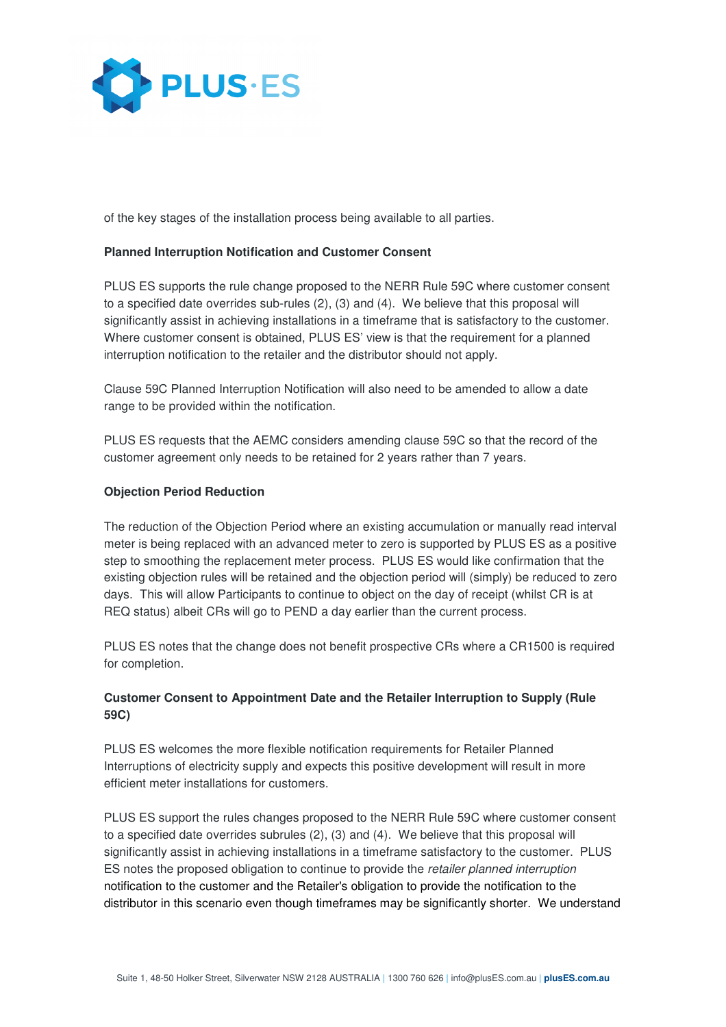

of the key stages of the installation process being available to all parties.

### **Planned Interruption Notification and Customer Consent**

PLUS ES supports the rule change proposed to the NERR Rule 59C where customer consent to a specified date overrides sub-rules (2), (3) and (4). We believe that this proposal will significantly assist in achieving installations in a timeframe that is satisfactory to the customer. Where customer consent is obtained, PLUS ES' view is that the requirement for a planned interruption notification to the retailer and the distributor should not apply.

Clause 59C Planned Interruption Notification will also need to be amended to allow a date range to be provided within the notification.

PLUS ES requests that the AEMC considers amending clause 59C so that the record of the customer agreement only needs to be retained for 2 years rather than 7 years.

#### **Objection Period Reduction**

The reduction of the Objection Period where an existing accumulation or manually read interval meter is being replaced with an advanced meter to zero is supported by PLUS ES as a positive step to smoothing the replacement meter process. PLUS ES would like confirmation that the existing objection rules will be retained and the objection period will (simply) be reduced to zero days. This will allow Participants to continue to object on the day of receipt (whilst CR is at REQ status) albeit CRs will go to PEND a day earlier than the current process.

PLUS ES notes that the change does not benefit prospective CRs where a CR1500 is required for completion.

## **Customer Consent to Appointment Date and the Retailer Interruption to Supply (Rule 59C)**

PLUS ES welcomes the more flexible notification requirements for Retailer Planned Interruptions of electricity supply and expects this positive development will result in more efficient meter installations for customers.

PLUS ES support the rules changes proposed to the NERR Rule 59C where customer consent to a specified date overrides subrules (2), (3) and (4). We believe that this proposal will significantly assist in achieving installations in a timeframe satisfactory to the customer. PLUS ES notes the proposed obligation to continue to provide the retailer planned interruption notification to the customer and the Retailer's obligation to provide the notification to the distributor in this scenario even though timeframes may be significantly shorter. We understand